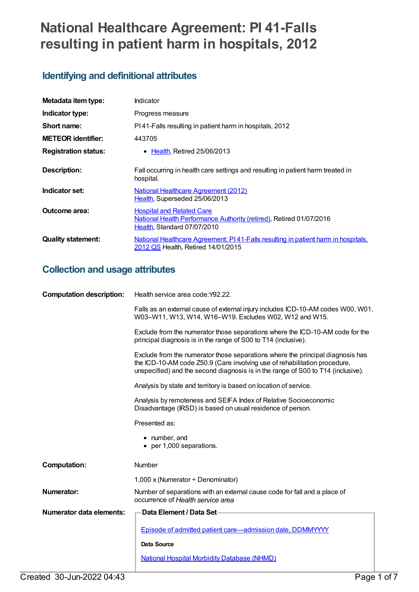# **National Healthcare Agreement: PI 41-Falls resulting in patient harm in hospitals, 2012**

## **Identifying and definitional attributes**

| Metadata item type:         | <b>Indicator</b>                                                                                                                       |  |
|-----------------------------|----------------------------------------------------------------------------------------------------------------------------------------|--|
| Indicator type:             | Progress measure                                                                                                                       |  |
| Short name:                 | PI41-Falls resulting in patient harm in hospitals, 2012                                                                                |  |
| <b>METEOR identifier:</b>   | 443705                                                                                                                                 |  |
| <b>Registration status:</b> | • Health, Retired 25/06/2013                                                                                                           |  |
| <b>Description:</b>         | Fall occurring in health care settings and resulting in patient harm treated in<br>hospital.                                           |  |
| Indicator set:              | <b>National Healthcare Agreement (2012)</b><br>Health, Superseded 25/06/2013                                                           |  |
| Outcome area:               | <b>Hospital and Related Care</b><br>National Health Performance Authority (retired), Retired 01/07/2016<br>Health, Standard 07/07/2010 |  |
| <b>Quality statement:</b>   | National Healthcare Agreement: PI41-Falls resulting in patient harm in hospitals,<br>2012 QS Health, Retired 14/01/2015                |  |

## **Collection and usage attributes**

| <b>Computation description:</b> | Health service area code: Y92.22.                                                                                                                                                                                                               |  |
|---------------------------------|-------------------------------------------------------------------------------------------------------------------------------------------------------------------------------------------------------------------------------------------------|--|
|                                 | Falls as an external cause of external injury includes ICD-10-AM codes W00, W01,<br>W03-W11, W13, W14, W16-W19. Excludes W02, W12 and W15.                                                                                                      |  |
|                                 | Exclude from the numerator those separations where the ICD-10-AM code for the<br>principal diagnosis is in the range of S00 to T14 (inclusive).                                                                                                 |  |
|                                 | Exclude from the numerator those separations where the principal diagnosis has<br>the ICD-10-AM code Z50.9 (Care involving use of rehabilitation procedure,<br>unspecified) and the second diagnosis is in the range of S00 to T14 (inclusive). |  |
|                                 | Analysis by state and territory is based on location of service.                                                                                                                                                                                |  |
|                                 | Analysis by remoteness and SEIFA Index of Relative Socioeconomic<br>Disadvantage (IRSD) is based on usual residence of person.                                                                                                                  |  |
|                                 | Presented as:                                                                                                                                                                                                                                   |  |
|                                 | • number, and<br>• per 1,000 separations.                                                                                                                                                                                                       |  |
| <b>Computation:</b>             | Number                                                                                                                                                                                                                                          |  |
|                                 | 1,000 x (Numerator $\div$ Denominator)                                                                                                                                                                                                          |  |
| <b>Numerator:</b>               | Number of separations with an external cause code for fall and a place of<br>occurrence of Health service area                                                                                                                                  |  |
| Numerator data elements:        | Data Element / Data Set-                                                                                                                                                                                                                        |  |
|                                 | Episode of admitted patient care-admission date, DDMMYYYY                                                                                                                                                                                       |  |
|                                 | <b>Data Source</b>                                                                                                                                                                                                                              |  |
|                                 | <b>National Hospital Morbidity Database (NHMD)</b>                                                                                                                                                                                              |  |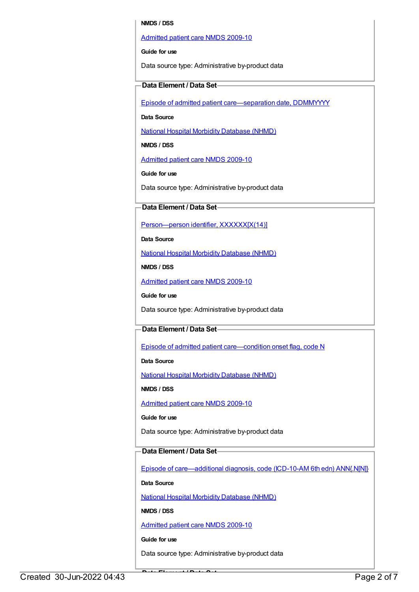#### **NMDS / DSS**

#### [Admitted](https://meteor.aihw.gov.au/content/374205) patient care NMDS 2009-10

**Guide for use**

Data source type: Administrative by-product data

#### **Data Element / Data Set**

Episode of admitted patient [care—separation](https://meteor.aihw.gov.au/content/270025) date, DDMMYYYY

**Data Source**

National Hospital Morbidity [Database](https://meteor.aihw.gov.au/content/394352) (NHMD)

**NMDS / DSS**

[Admitted](https://meteor.aihw.gov.au/content/374205) patient care NMDS 2009-10

**Guide for use**

Data source type: Administrative by-product data

#### **Data Element / Data Set**

[Person—person](https://meteor.aihw.gov.au/content/290046) identifier, XXXXXX[X(14)]

**Data Source**

National Hospital Morbidity [Database](https://meteor.aihw.gov.au/content/394352) (NHMD)

**NMDS / DSS**

[Admitted](https://meteor.aihw.gov.au/content/374205) patient care NMDS 2009-10

**Guide for use**

Data source type: Administrative by-product data

#### **Data Element / Data Set**

Episode of admitted patient [care—condition](https://meteor.aihw.gov.au/content/354816) onset flag, code N

**Data Source**

National Hospital Morbidity [Database](https://meteor.aihw.gov.au/content/394352) (NHMD)

**NMDS / DSS**

[Admitted](https://meteor.aihw.gov.au/content/374205) patient care NMDS 2009-10

**Guide for use**

Data source type: Administrative by-product data

#### **Data Element / Data Set**

Episode of [care—additional](https://meteor.aihw.gov.au/content/356587) diagnosis, code (ICD-10-AM 6th edn) ANN{.N[N]}

**Data Source**

National Hospital Morbidity [Database](https://meteor.aihw.gov.au/content/394352) (NHMD)

**NMDS / DSS**

[Admitted](https://meteor.aihw.gov.au/content/374205) patient care NMDS 2009-10

**Guide for use**

Data source type: Administrative by-product data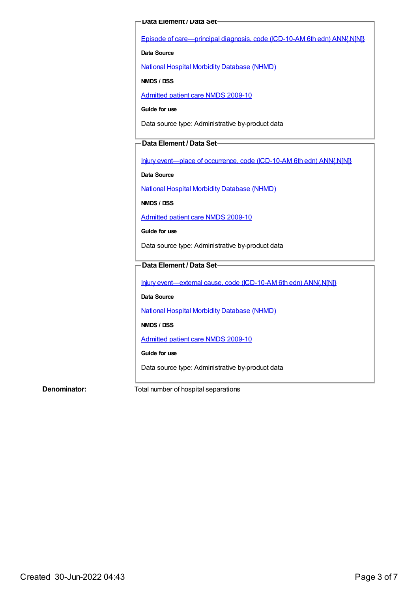#### **Data Element / Data Set**

Episode of [care—principal](https://meteor.aihw.gov.au/content/361034) diagnosis, code (ICD-10-AM 6th edn) ANN{.N[N]}

#### **Data Source**

National Hospital Morbidity [Database](https://meteor.aihw.gov.au/content/394352) (NHMD)

**NMDS / DSS**

[Admitted](https://meteor.aihw.gov.au/content/374205) patient care NMDS 2009-10

**Guide for use**

Data source type: Administrative by-product data

#### **Data Element / Data Set**

Injury [event—place](https://meteor.aihw.gov.au/content/361677) of occurrence, code (ICD-10-AM 6th edn) ANN{.N[N]}

**Data Source**

National Hospital Morbidity [Database](https://meteor.aihw.gov.au/content/394352) (NHMD)

**NMDS / DSS**

[Admitted](https://meteor.aihw.gov.au/content/374205) patient care NMDS 2009-10

**Guide for use**

Data source type: Administrative by-product data

### **Data Element / Data Set**

Injury [event—external](https://meteor.aihw.gov.au/content/361926) cause, code (ICD-10-AM 6th edn) ANN{.N[N]}

**Data Source**

National Hospital Morbidity [Database](https://meteor.aihw.gov.au/content/394352) (NHMD)

**NMDS / DSS**

[Admitted](https://meteor.aihw.gov.au/content/374205) patient care NMDS 2009-10

**Guide for use**

Data source type: Administrative by-product data

**Denominator:** Total number of hospital separations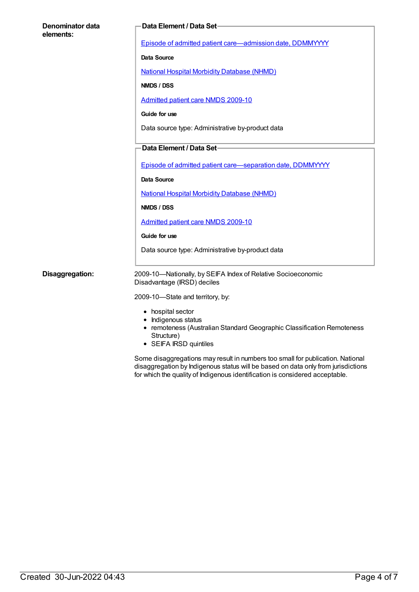| Denominator data<br>elements: | Data Element / Data Set-                                                                                                                                   |
|-------------------------------|------------------------------------------------------------------------------------------------------------------------------------------------------------|
|                               | Episode of admitted patient care-admission date, DDMMYYYY                                                                                                  |
|                               | <b>Data Source</b>                                                                                                                                         |
|                               | <b>National Hospital Morbidity Database (NHMD)</b>                                                                                                         |
|                               | NMDS / DSS                                                                                                                                                 |
|                               | <b>Admitted patient care NMDS 2009-10</b>                                                                                                                  |
|                               | Guide for use                                                                                                                                              |
|                               | Data source type: Administrative by-product data                                                                                                           |
|                               | Data Element / Data Set-                                                                                                                                   |
|                               | Episode of admitted patient care-separation date, DDMMYYYY                                                                                                 |
|                               | <b>Data Source</b>                                                                                                                                         |
|                               | <b>National Hospital Morbidity Database (NHMD)</b>                                                                                                         |
|                               | NMDS / DSS                                                                                                                                                 |
|                               | Admitted patient care NMDS 2009-10                                                                                                                         |
|                               | Guide for use                                                                                                                                              |
|                               | Data source type: Administrative by-product data                                                                                                           |
| Disaggregation:               | 2009-10-Nationally, by SEIFA Index of Relative Socioeconomic<br>Disadvantage (IRSD) deciles                                                                |
|                               | 2009-10-State and territory, by:                                                                                                                           |
|                               | • hospital sector<br>• Indigenous status<br>• remoteness (Australian Standard Geographic Classification Remoteness<br>Structure)<br>• SEIFA IRSD quintiles |

Some disaggregations may result in numbers too small for publication. National disaggregation by Indigenous status will be based on data only from jurisdictions for which the quality of Indigenous identification is considered acceptable.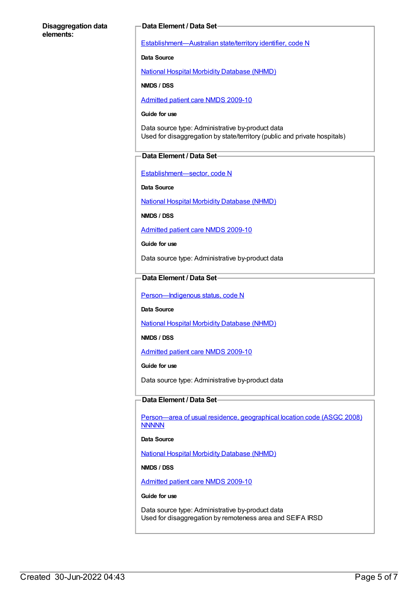#### **Disaggregation data elements:**

#### **Data Element / Data Set**

[Establishment—Australian](https://meteor.aihw.gov.au/content/269941) state/territory identifier, code N

**Data Source**

National Hospital Morbidity [Database](https://meteor.aihw.gov.au/content/394352) (NHMD)

**NMDS / DSS**

[Admitted](https://meteor.aihw.gov.au/content/374205) patient care NMDS 2009-10

#### **Guide for use**

Data source type: Administrative by-product data Used for disaggregation by state/territory (public and private hospitals)

#### **Data Element / Data Set**

[Establishment—sector,](https://meteor.aihw.gov.au/content/269977) code N

**Data Source**

National Hospital Morbidity [Database](https://meteor.aihw.gov.au/content/394352) (NHMD)

**NMDS / DSS**

[Admitted](https://meteor.aihw.gov.au/content/374205) patient care NMDS 2009-10

**Guide for use**

Data source type: Administrative by-product data

#### **Data Element / Data Set**

Person-Indigenous status, code N

**Data Source**

National Hospital Morbidity [Database](https://meteor.aihw.gov.au/content/394352) (NHMD)

**NMDS / DSS**

[Admitted](https://meteor.aihw.gov.au/content/374205) patient care NMDS 2009-10

**Guide for use**

Data source type: Administrative by-product data

#### **Data Element / Data Set**

[Person—area](https://meteor.aihw.gov.au/content/377103) of usual residence, geographical location code (ASGC 2008) **NNNNN** 

**Data Source**

National Hospital Morbidity [Database](https://meteor.aihw.gov.au/content/394352) (NHMD)

**NMDS / DSS**

[Admitted](https://meteor.aihw.gov.au/content/374205) patient care NMDS 2009-10

#### **Guide for use**

Data source type: Administrative by-product data Used for disaggregation by remoteness area and SEIFA IRSD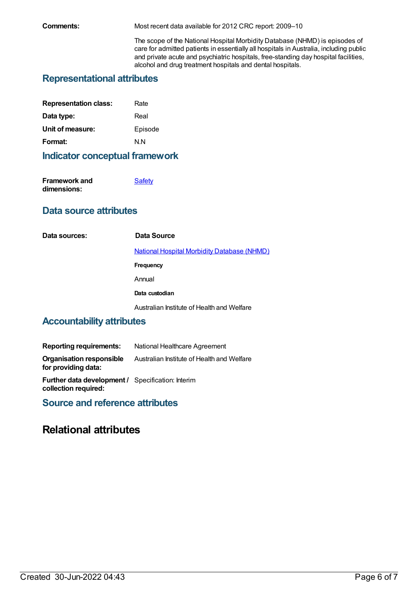**Comments:** Most recent data available for 2012 CRC report: 2009–10

The scope of the National Hospital Morbidity Database (NHMD) is episodes of care for admitted patients in essentially all hospitals in Australia, including public and private acute and psychiatric hospitals, free-standing day hospital facilities, alcohol and drug treatment hospitals and dental hospitals.

## **Representational attributes**

| Rate    |
|---------|
| Real    |
| Episode |
| N N     |
|         |

## **Indicator conceptual framework**

| Framework and | <b>Safety</b> |
|---------------|---------------|
| dimensions:   |               |

## **Data source attributes**

**Data sources: Data Source** National Hospital Morbidity [Database](https://meteor.aihw.gov.au/content/394352) (NHMD) **Frequency** Annual **Data custodian** Australian Institute of Health and Welfare

## **Accountability attributes**

| <b>Reporting requirements:</b>                                                   | National Healthcare Agreement              |
|----------------------------------------------------------------------------------|--------------------------------------------|
| <b>Organisation responsible</b><br>for providing data:                           | Australian Institute of Health and Welfare |
| <b>Further data development / Specification: Interim</b><br>collection required: |                                            |

**Source and reference attributes**

## **Relational attributes**